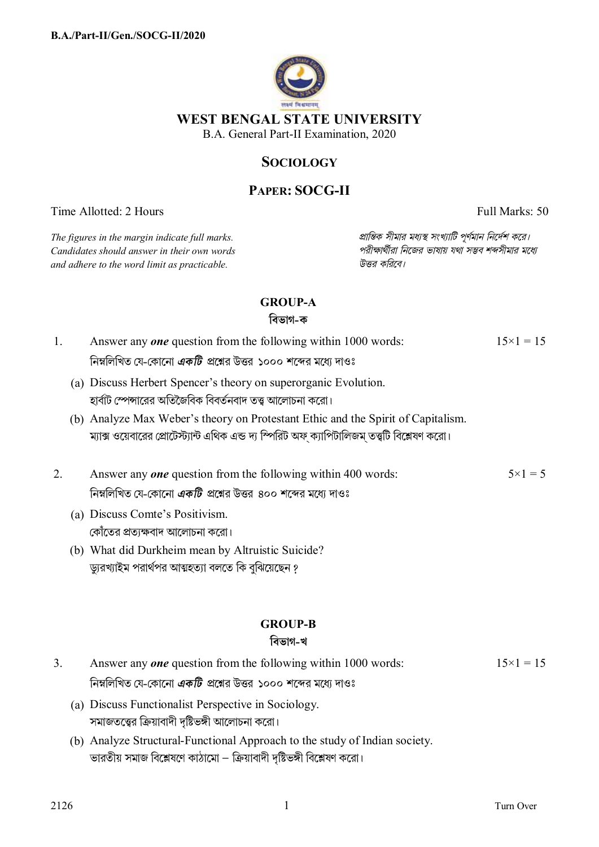

## **SOCIOLOGY**

# **PAPER: SOCG-II**

Time Allotted: 2 Hours Full Marks: 50

 $C$ *andidates should answer in their own words and adhere to the word limit as practicable. উtর কিরেব।*

*The figures in the margin indicate full marks. pািnক সীমার মধ°s সংখ°ািট পূণমান িনেদশ কের।*

## **GROUP-A**

**িবভাগ-ক**

- 1. Answer any *one* question from the following within 1000 words: নিম্নলিখিত যে-কোনো *একটি প্র*শ্নের উত্তর ১০০০ শব্দের মধ্যে দাওঃ  $15\times1 = 15$ 
	- (a) Discuss Herbert Spencer's theory on superorganic Evolution. হার্বাট স্পেন্সারের অতিজৈবিক বিবর্তনবাদ তত্ত্ব আলোচনা করো।
	- (b) Analyze Max Weber's theory on Protestant Ethic and the Spirit of Capitalism. ম্যাক্স ওয়েবারের প্রোটেস্ট্যান্ট এথিক এন্ড দ্য স্পিরিট অফ ক্যাপিটালিজম তত্ত্বটি বিশ্লেষণ করো।
- 2. Answer any *one* question from the following within 400 words: নিম্নলিখিত যে-কোনো *একটি প্র*শ্নের উত্তর ৪০০ শব্দের মধ্যে দাওঃ  $5 \times 1 = 5$ 
	- (a) Discuss Comte's Positivism. কোঁতের প্রত্যক্ষবাদ আলোচনা করো।
	- (b) What did Durkheim mean by Altruistic Suicide? ড্যুরখ্যাইম পরার্থপর আত্মহত্যা বলতে কি বুঝিয়েছেন <u>?</u>

## **GROUP-B**

## **িবভাগ-খ**

| Answer any <i>one</i> question from the following within 1000 words:  | $15 \times 1 = 15$ |
|-----------------------------------------------------------------------|--------------------|
| ানিম্নলিখিত যে-কোনো <i>একটি</i> প্রশ্নের উত্তর ১০০০ শব্দের মধ্যে দাওঃ |                    |

- (a) Discuss Functionalist Perspective in Sociology. সমাজতত্ত্বের ক্রিয়াবাদী দৃষ্টিভঙ্গী আলোচনা করো।
- (b) Analyze Structural-Functional Approach to the study of Indian society. ভারতীয় সমাজ বিশ্লেষণে কাঠামাে – ক্রিয়াবাদী দৃষ্টিভঙ্গী বিশ্লেষণ করাে।